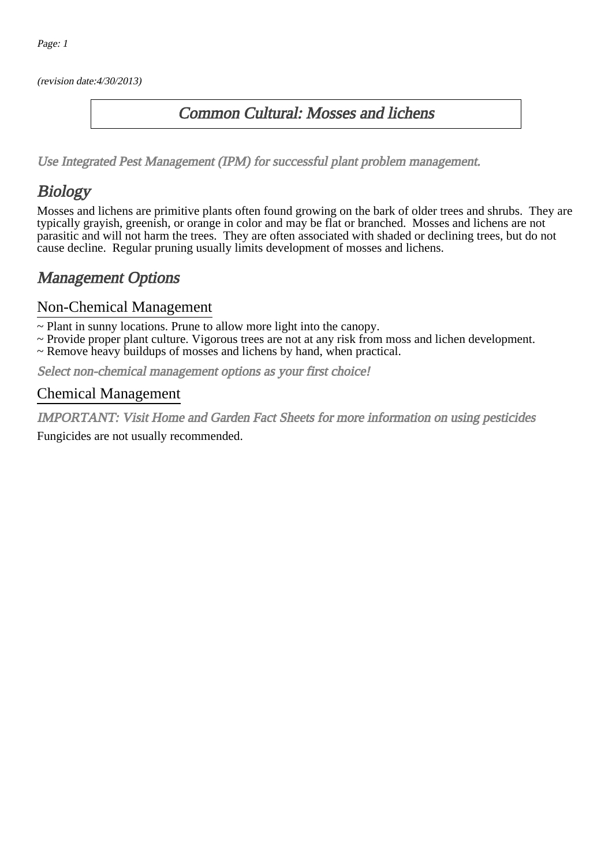(revision date:4/30/2013)

### Common Cultural: Mosses and lichens

[Use Integrated Pest Management \(IPM\) for successful plant problem management.](http://pep.wsu.edu/Home_Garden/H_G_Pesticide_info/urban_Integrated_Pest_Managmen/)

## Biology

Mosses and lichens are primitive plants often found growing on the bark of older trees and shrubs. They are typically grayish, greenish, or orange in color and may be flat or branched. Mosses and lichens are not parasitic and will not harm the trees. They are often associated with shaded or declining trees, but do not cause decline. Regular pruning usually limits development of mosses and lichens.

## Management Options

#### Non-Chemical Management

~ Plant in sunny locations. Prune to allow more light into the canopy.

- ~ Provide proper plant culture. Vigorous trees are not at any risk from moss and lichen development.
- ~ Remove heavy buildups of mosses and lichens by hand, when practical.

Select non-chemical management options as your first choice!

#### Chemical Management

IMPORTANT: [Visit Home and Garden Fact Sheets for more information on using pesticides](http://pep.wsu.edu/Home_Garden/H_G_Pesticide_info/) Fungicides are not usually recommended.